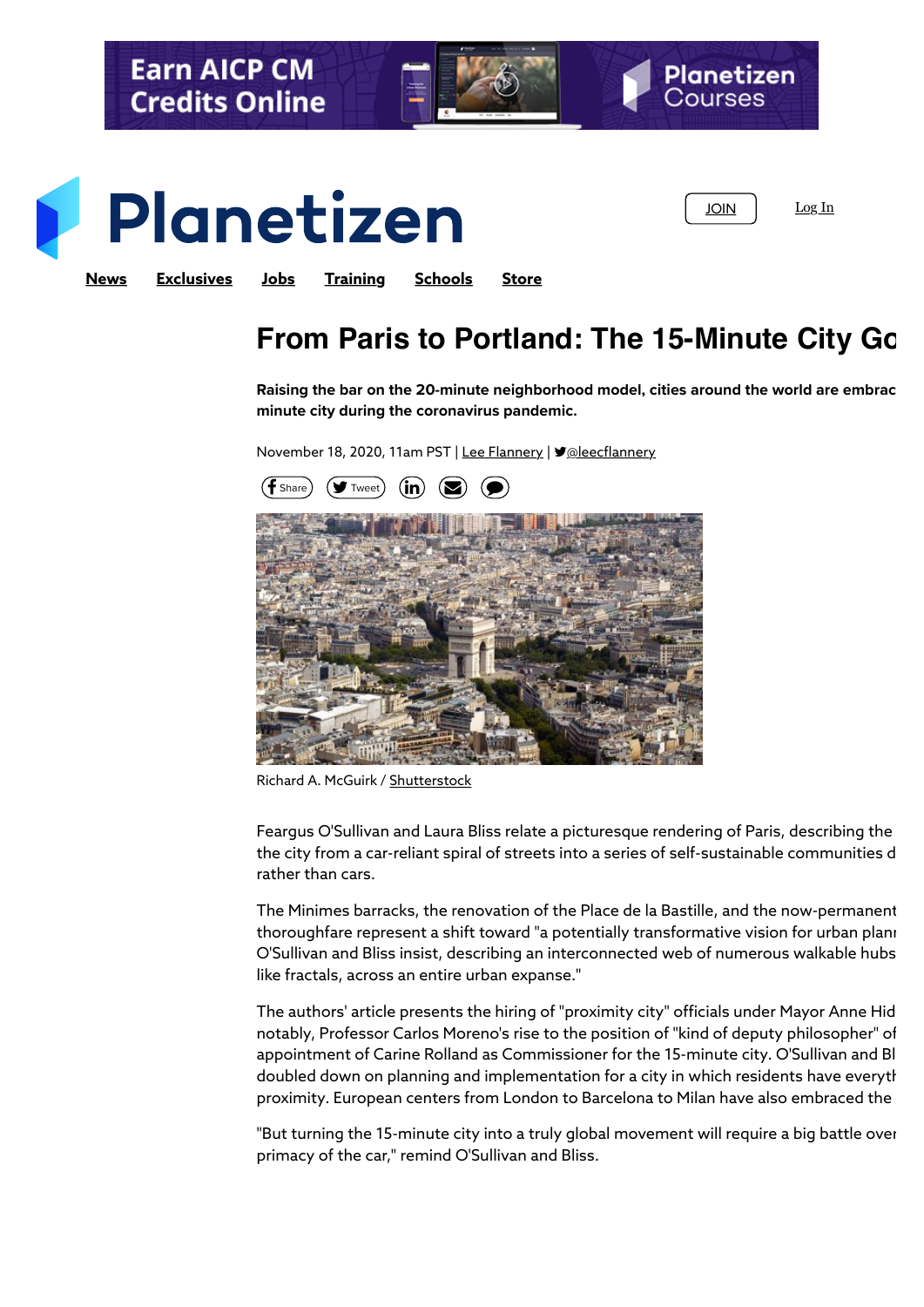

## **From Paris to Portland: The 15-Minute City Goes**

**Raising the bar on the 20-minute neighborhood model, cities around the world are embracing the appeal of the 15 minute city during the coronavirus pandemic.**

November 18, 2020, 11am PST | [Lee Flannery](https://www.planetizen.com/user/181602) | ♥@leecflannery



Richard A. McGuirk / [Shutterstock](http://www.shutterstock.com/pic-112131758/stock-photo-arc-de-triomphe-in-paris-france-designed-by-jean-chalgrin-shot-from-above-with-part-of-the.html?src=CcZl3CuBPk6HJ-hu_E3CZg-1-55)

Feargus O'Sullivan and Laura Bliss relate a picturesque rendering of Paris, describing the the city from a car-reliant spiral of streets into a series of self-sustainable communities d rather than cars.

The Minimes barracks, the renovation of the Place de la Bastille, and the now-permanent thoroughfare represent a shift toward "a potentially transformative vision for urban plani O'Sullivan and Bliss insist, describing an interconnected web of numerous walkable hubs like fractals, across an entire urban expanse."

The authors' article presents the hiring of "proximity city" officials under Mayor Anne Hid notably, Professor Carlos Moreno's rise to the position of "kind of deputy philosopher" of appointment of Carine Rolland as Commissioner for the 15-minute city. O'Sullivan and Bl doubled down on planning and implementation for a city in which residents have everyth proximity. European centers from London to Barcelona to Milan have also embraced the

"But turning the 15-minute city into a truly global movement will require a big battle over primacy of the car," remind O'Sullivan and Bliss.